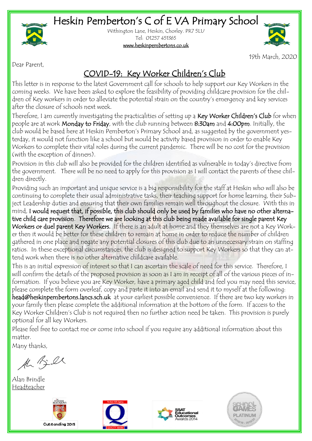## Heskin Pemberton's C of E VA Primary School



Withington Lane, Heskin, Chorley. PR7 5LU Tel: 01257 451365

#### [www.heskinpembertons.co.uk](http://www.pembertons.lancsngfl.ac.uk)



19th March, 2020

Dear Parent,

#### COVID-19: Key Worker Children's Club

This letter is in response to the latest Government call for schools to help support our Key Workers in the coming weeks. We have been asked to explore the feasibility of providing childcare provision for the children of Key workers in order to alleviate the potential strain on the country's emergency and key services after the closure of schools next week.

Therefore, I am currently investigating the practicalities of setting up a Key Worker Children's Club for when people are at work Monday to Friday, with the club running between 8:30am and 4:00pm. Initially, the club would be based here at Heskin Pemberton's Primary School and, as suggested by the government yesterday, it would not function like a school but would be activity based provision in order to enable Key Workers to complete their vital roles during the current pandemic. There will be no cost for the provision (with the exception of dinners).

Provision in this club will also be provided for the children identified as vulnerable in today's directive from the government. There will be no need to apply for this provision as I will contact the parents of these children directly.

Providing such an important and unique service is a big responsibility for the staff at Heskin who will also be continuing to complete their usual administrative tasks, their teaching support for home learning, their Subject Leadership duties and ensuring that their own families remain well throughout the closure. With this in mind, I would request that, if possible, this club should only be used by families who have no other alternative child care provision. Therefore we are looking at this club being made available for single parent Key Workers or duel parent Key Workers. If there is an adult at home and they themselves are not a Key Worker then it would be better for these children to remain at home in order to reduce the number of children gathered in one place and negate any potential closures of this club due to an unnecessary strain on staffing ratios. In these exceptional circumstances, the club is designed to support Key Workers so that they can attend work when there is no other alternative childcare available.

This is an initial expression of interest so that I can ascertain the scale of need for this service. Therefore, I will confirm the details of the proposed provision as soon as I am in receipt of all of the various pieces of information. If you believe you are Key Worker, have a primary aged child and feel you may need this service, please complete the form overleaf, copy and paste it into an email and send it to myself at the following: head@heskinpembertons.lancs.sch.uk at your earliest possible convenience. If there are two key workers in your family then please complete the additional information at the bottom of the form. If access to the Key Worker Children's Club is not required then no further action need be taken. This provision is purely optional for all key Workers.

Please feel free to contact me or come into school if you require any additional information about this matter.

Many thanks,

AL Bill

Alan Brindle Headteacher